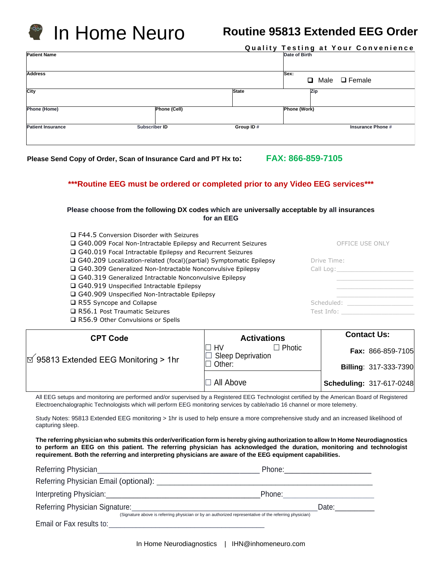

|                          |                      |              | Quality Testing at Your Convenience |
|--------------------------|----------------------|--------------|-------------------------------------|
| <b>Patient Name</b>      |                      |              | Date of Birth                       |
| <b>Address</b>           |                      |              | Sex:<br>Male □ Female<br>o          |
| City                     |                      | <b>State</b> | Zip                                 |
| <b>Phone (Home)</b>      | Phone (Cell)         |              | Phone (Work)                        |
| <b>Patient Insurance</b> | <b>Subscriber ID</b> | Group ID#    | <b>Insurance Phone #</b>            |

**Please Send Copy of Order, Scan of Insurance Card and PT Hx to: FAX: 866-859-7105**

## **\*\*\*Routine EEG must be ordered or completed prior to any Video EEG services\*\*\***

### **Please choose from the following DX codes which are universally acceptable by all insurances for an EEG**

| □ F44.5 Conversion Disorder with Seizures                                 |                 |
|---------------------------------------------------------------------------|-----------------|
| □ G40.009 Focal Non-Intractable Epilepsy and Recurrent Seizures           | OFFICE USE ONLY |
| □ G40.019 Focal Intractable Epilepsy and Recurrent Seizures               |                 |
| $\Box$ G40.209 Localization-related (focal)(partial) Symptomatic Epilepsy | Drive Time:     |
| □ G40.309 Generalized Non-Intractable Nonconvulsive Epilepsy              | Call Log:       |
| $\Box$ G40.319 Generalized Intractable Nonconvulsive Epilepsy             |                 |
| $\Box$ G40.919 Unspecified Intractable Epilepsy                           |                 |
| $\Box$ G40.909 Unspecified Non-Intractable Epilepsy                       |                 |
| $\Box$ R55 Syncope and Collapse                                           | Scheduled:      |
| $\Box$ R56.1 Post Traumatic Seizures                                      | Test Info:      |
| $\Box$ R56.9 Other Convulsions or Spells                                  |                 |

| <b>CPT Code</b>                                 | <b>Activations</b>                              | <b>Contact Us:</b>           |  |
|-------------------------------------------------|-------------------------------------------------|------------------------------|--|
| $\boxtimes$ 95813 Extended EEG Monitoring > 1hr | $\Box$ Photic<br>HV<br><b>Sleep Deprivation</b> | Fax: 866-859-7105            |  |
|                                                 | Other:                                          | <b>Billing: 317-333-7390</b> |  |
|                                                 | $\Box$ All Above                                | Scheduling: 317-617-0248     |  |

All EEG setups and monitoring are performed and/or supervised by a Registered EEG Technologist certified by the American Board of Registered Electroenchalographic Technologists which will perform EEG monitoring services by cable/radio 16 channel or more telemetry.

Study Notes: 95813 Extended EEG monitoring > 1hr is used to help ensure a more comprehensive study and an increased likelihood of capturing sleep.

**The referring physician who submits this order/verification form is hereby giving authorization to allow In Home Neurodiagnostics to perform an EEG on this patient. The referring physician has acknowledged the duration, monitoring and technologist requirement. Both the referring and interpreting physicians are aware of the EEG equipment capabilities.**

|                                                                                                        | Phone: __________________ |  |
|--------------------------------------------------------------------------------------------------------|---------------------------|--|
| Referring Physician Email (optional): __________                                                       |                           |  |
|                                                                                                        | Phone:                    |  |
| Referring Physician Signature:                                                                         | Date:                     |  |
| (Signature above is referring physician or by an authorized representative of the referring physician) |                           |  |
| Email or Fax results to:                                                                               |                           |  |